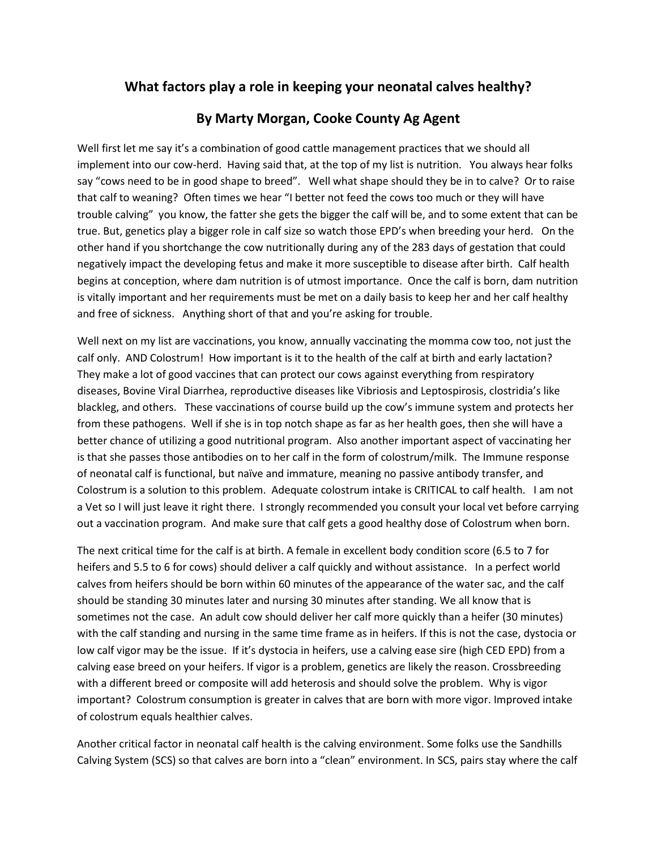## **What factors play a role in keeping your neonatal calves healthy?**

## **By Marty Morgan, Cooke County Ag Agent**

Well first let me say it's a combination of good cattle management practices that we should all implement into our cow-herd. Having said that, at the top of my list is nutrition. You always hear folks say "cows need to be in good shape to breed". Well what shape should they be in to calve? Or to raise that calf to weaning? Often times we hear "I better not feed the cows too much or they will have trouble calving" you know, the fatter she gets the bigger the calf will be, and to some extent that can be true. But, genetics play a bigger role in calf size so watch those EPD's when breeding your herd. On the other hand if you shortchange the cow nutritionally during any of the 283 days of gestation that could negatively impact the developing fetus and make it more susceptible to disease after birth. Calf health begins at conception, where [dam nutrition](http://beefmagazine.com/nutrition) is of utmost importance. Once the calf is born, dam nutrition is vitally important and her requirements must be met on a daily basis to keep her and her calf healthy and free of sickness. Anything short of that and you're asking for trouble.

Well next on my list are vaccinations, you know, annually vaccinating the momma cow too, not just the calf only. AND Colostrum! How important is it to the health of the calf at birth and early lactation? They make a lot of good vaccines that can protect our cows against everything from respiratory diseases, Bovine Viral Diarrhea, reproductive diseases like Vibriosis and Leptospirosis, clostridia's like blackleg, and others. These vaccinations of course build up the cow's immune system and protects her from these pathogens. Well if she is in top notch shape as far as her health goes, then she will have a better chance of utilizing a good nutritional program. Also another important aspect of vaccinating her is that she passes those antibodies on to her calf in the form of colostrum/milk. The Immune response of neonatal calf is functional, but naïve and immature, meaning no passive antibody transfer, and Colostrum is a solution to this problem. Adequate colostrum intake is CRITICAL to calf health. I am not a Vet so I will just leave it right there. I strongly recommended you consult your local vet before carrying out a vaccination program. And make sure that calf gets a good healthy dose of Colostrum when born.

The next critical time for the calf is at birth. A female in excellent body condition score (6.5 to 7 for heifers and 5.5 to 6 for cows) should deliver a [calf quickly and without assistance.](http://beefmagazine.com/calving/advice-when-intervene-when-calving-first-calf-heifers) In a perfect world calves from heifers should be born within 60 minutes of the appearance of the water sac, and the calf should be standing 30 minutes later and nursing 30 minutes after standing. We all know that is sometimes not the case. An adult cow should deliver her calf more quickly than a heifer (30 minutes) with the calf standing and nursing in the same time frame as in heifers. If this is not the case, dystocia or low calf vigor may be the issue. If it's dystocia in heifers, use a calving ease sire (high CED EPD) from a calving ease breed on your heifers. If vigor is a problem, genetics are likely the reason. Crossbreeding with a different breed or composite will add heterosis and should solve the problem. Why is vigor important? [Colostrum](http://beefmagazine.com/research/scott-laudert/1201-research-managing-colostrum) consumption is greater in calves that are born with more vigor. Improved intake of colostrum equals healthier calves.

Another critical factor in neonatal calf health is the calving environment. Some folks use the [Sandhills](http://beefmagazine.com/americancowman/health/0210-sandhills-calving-system)  [Calving System](http://beefmagazine.com/americancowman/health/0210-sandhills-calving-system) (SCS) so that calves are born into a "clean" environment. In SCS, pairs stay where the calf